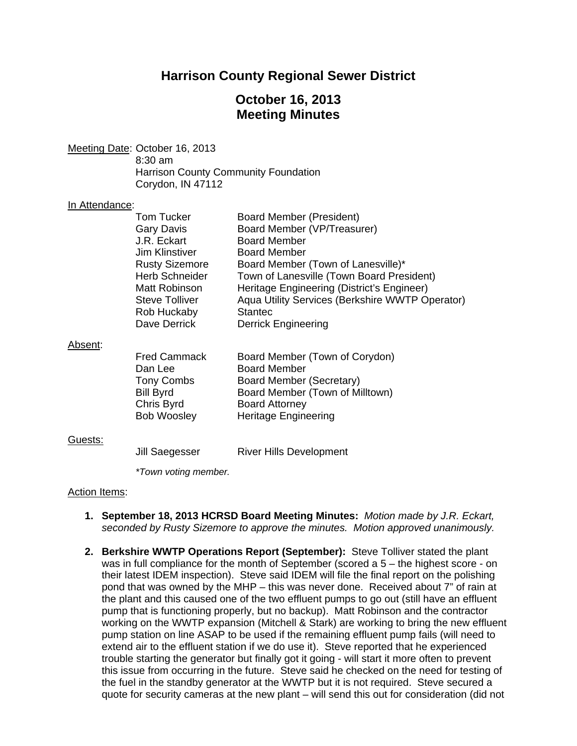# **Harrison County Regional Sewer District**

# **October 16, 2013 Meeting Minutes**

Meeting Date: October 16, 2013 8:30 am Harrison County Community Foundation Corydon, IN 47112

#### In Attendance:

|         | <b>Tom Tucker</b>     | Board Member (President)                        |
|---------|-----------------------|-------------------------------------------------|
|         | Gary Davis            | Board Member (VP/Treasurer)                     |
|         | J.R. Eckart           | <b>Board Member</b>                             |
|         | Jim Klinstiver        | <b>Board Member</b>                             |
|         | <b>Rusty Sizemore</b> | Board Member (Town of Lanesville)*              |
|         | <b>Herb Schneider</b> | Town of Lanesville (Town Board President)       |
|         | Matt Robinson         | Heritage Engineering (District's Engineer)      |
|         | <b>Steve Tolliver</b> | Aqua Utility Services (Berkshire WWTP Operator) |
|         | Rob Huckaby           | <b>Stantec</b>                                  |
|         | Dave Derrick          | <b>Derrick Engineering</b>                      |
| Absent: |                       |                                                 |
|         | <b>Fred Cammack</b>   | Board Member (Town of Corydon)                  |
|         | Dan Lee               | <b>Board Member</b>                             |
|         | <b>Tony Combs</b>     | Board Member (Secretary)                        |
|         | <b>Bill Byrd</b>      | Board Member (Town of Milltown)                 |

### Guests:

Jill Saegesser River Hills Development

Bob Woosley Heritage Engineering

Chris Byrd Board Attorney

 *\*Town voting member.* 

### Action Items:

- **1. September 18, 2013 HCRSD Board Meeting Minutes:** *Motion made by J.R. Eckart, seconded by Rusty Sizemore to approve the minutes. Motion approved unanimously.*
- **2. Berkshire WWTP Operations Report (September):** Steve Tolliver stated the plant was in full compliance for the month of September (scored a 5 – the highest score - on their latest IDEM inspection). Steve said IDEM will file the final report on the polishing pond that was owned by the MHP – this was never done. Received about 7" of rain at the plant and this caused one of the two effluent pumps to go out (still have an effluent pump that is functioning properly, but no backup). Matt Robinson and the contractor working on the WWTP expansion (Mitchell & Stark) are working to bring the new effluent pump station on line ASAP to be used if the remaining effluent pump fails (will need to extend air to the effluent station if we do use it). Steve reported that he experienced trouble starting the generator but finally got it going - will start it more often to prevent this issue from occurring in the future. Steve said he checked on the need for testing of the fuel in the standby generator at the WWTP but it is not required. Steve secured a quote for security cameras at the new plant – will send this out for consideration (did not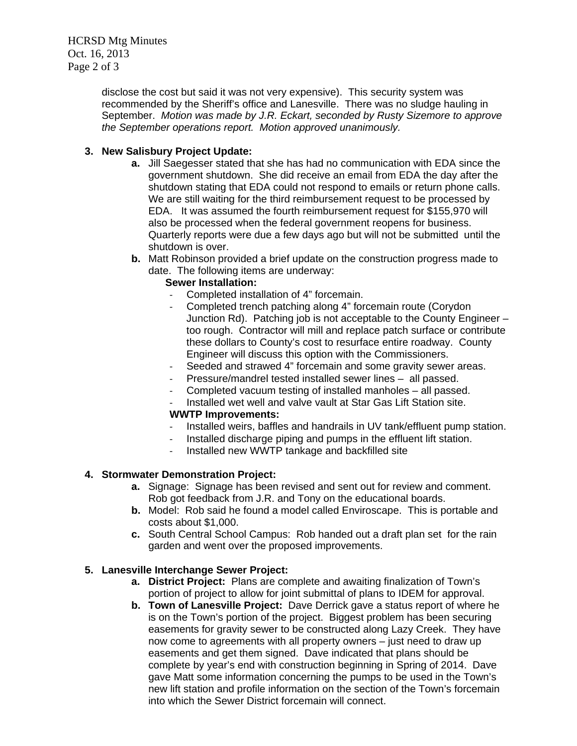disclose the cost but said it was not very expensive). This security system was recommended by the Sheriff's office and Lanesville. There was no sludge hauling in September. *Motion was made by J.R. Eckart, seconded by Rusty Sizemore to approve the September operations report. Motion approved unanimously.*

## **3. New Salisbury Project Update:**

- **a.** Jill Saegesser stated that she has had no communication with EDA since the government shutdown. She did receive an email from EDA the day after the shutdown stating that EDA could not respond to emails or return phone calls. We are still waiting for the third reimbursement request to be processed by EDA. It was assumed the fourth reimbursement request for \$155,970 will also be processed when the federal government reopens for business. Quarterly reports were due a few days ago but will not be submitted until the shutdown is over.
- **b.** Matt Robinson provided a brief update on the construction progress made to date. The following items are underway:

## **Sewer Installation:**

- ‐ Completed installation of 4" forcemain.
- ‐ Completed trench patching along 4" forcemain route (Corydon Junction Rd). Patching job is not acceptable to the County Engineer – too rough. Contractor will mill and replace patch surface or contribute these dollars to County's cost to resurface entire roadway. County Engineer will discuss this option with the Commissioners.
- ‐ Seeded and strawed 4" forcemain and some gravity sewer areas.
- ‐ Pressure/mandrel tested installed sewer lines all passed.
- ‐ Completed vacuum testing of installed manholes all passed.
- Installed wet well and valve vault at Star Gas Lift Station site.

## **WWTP Improvements:**

- Installed weirs, baffles and handrails in UV tank/effluent pump station.
- Installed discharge piping and pumps in the effluent lift station.
- ‐ Installed new WWTP tankage and backfilled site

## **4. Stormwater Demonstration Project:**

- **a.** Signage: Signage has been revised and sent out for review and comment. Rob got feedback from J.R. and Tony on the educational boards.
- **b.** Model: Rob said he found a model called Enviroscape. This is portable and costs about \$1,000.
- **c.** South Central School Campus: Rob handed out a draft plan set for the rain garden and went over the proposed improvements.

## **5. Lanesville Interchange Sewer Project:**

- **a. District Project:** Plans are complete and awaiting finalization of Town's portion of project to allow for joint submittal of plans to IDEM for approval.
- **b. Town of Lanesville Project:** Dave Derrick gave a status report of where he is on the Town's portion of the project. Biggest problem has been securing easements for gravity sewer to be constructed along Lazy Creek. They have now come to agreements with all property owners – just need to draw up easements and get them signed. Dave indicated that plans should be complete by year's end with construction beginning in Spring of 2014. Dave gave Matt some information concerning the pumps to be used in the Town's new lift station and profile information on the section of the Town's forcemain into which the Sewer District forcemain will connect.